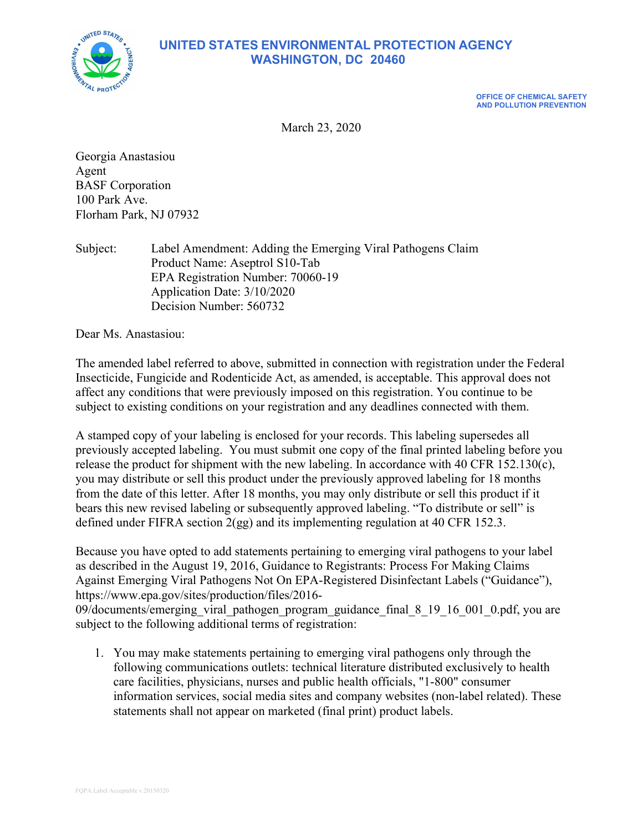

## UNITED STATES ENVIRONMENTAL PROTECTION AGENCY WASHINGTON, DC 20460

OFFICE OF CHEMICAL SAFETY AND POLLUTION PREVENTION

March 23, 2020

Georgia Anastasiou Agent BASF Corporation 100 Park Ave. Florham Park, NJ 07932

Subject: Label Amendment: Adding the Emerging Viral Pathogens Claim Product Name: Aseptrol S10-Tab EPA Registration Number: 70060-19 Application Date: 3/10/2020 Decision Number: 560732

Dear Ms. Anastasiou:

The amended label referred to above, submitted in connection with registration under the Federal Insecticide, Fungicide and Rodenticide Act, as amended, is acceptable. This approval does not affect any conditions that were previously imposed on this registration. You continue to be subject to existing conditions on your registration and any deadlines connected with them.

A stamped copy of your labeling is enclosed for your records. This labeling supersedes all previously accepted labeling. You must submit one copy of the final printed labeling before you release the product for shipment with the new labeling. In accordance with 40 CFR 152.130(c), you may distribute or sell this product under the previously approved labeling for 18 months from the date of this letter. After 18 months, you may only distribute or sell this product if it bears this new revised labeling or subsequently approved labeling. "To distribute or sell" is defined under FIFRA section 2(gg) and its implementing regulation at 40 CFR 152.3.

Because you have opted to add statements pertaining to emerging viral pathogens to your label as described in the August 19, 2016, Guidance to Registrants: Process For Making Claims Against Emerging Viral Pathogens Not On EPA-Registered Disinfectant Labels ("Guidance"), https://www.epa.gov/sites/production/files/2016-

09/documents/emerging\_viral\_pathogen\_program\_guidance\_final\_8\_19\_16\_001\_0.pdf, you are subject to the following additional terms of registration:

1. You may make statements pertaining to emerging viral pathogens only through the following communications outlets: technical literature distributed exclusively to health care facilities, physicians, nurses and public health officials, "1-800" consumer information services, social media sites and company websites (non-label related). These statements shall not appear on marketed (final print) product labels.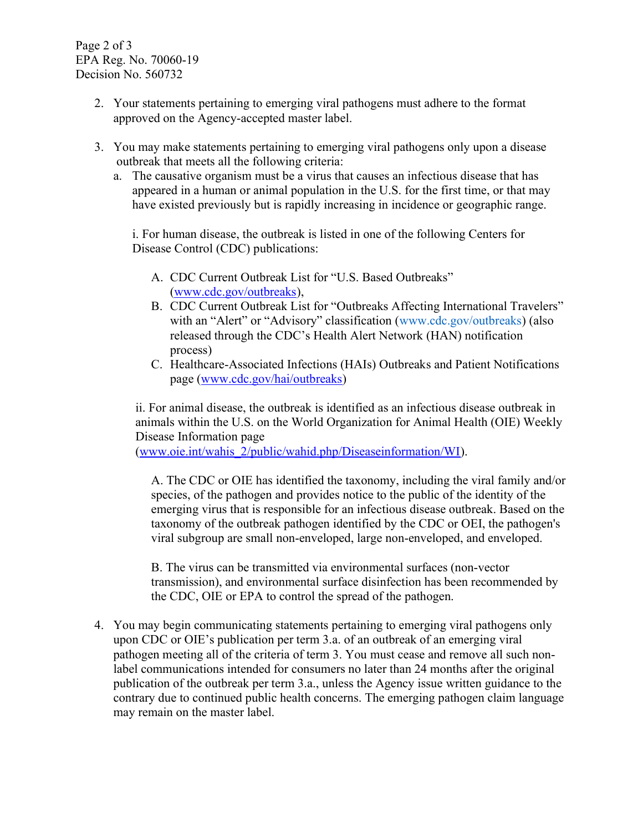Page 2 of 3 EPA Reg. No. 70060-19 Decision No. 560732

- 2. Your statements pertaining to emerging viral pathogens must adhere to the format approved on the Agency-accepted master label.
- 3. You may make statements pertaining to emerging viral pathogens only upon a disease outbreak that meets all the following criteria:
	- a. The causative organism must be a virus that causes an infectious disease that has appeared in a human or animal population in the U.S. for the first time, or that may have existed previously but is rapidly increasing in incidence or geographic range.

i. For human disease, the outbreak is listed in one of the following Centers for Disease Control (CDC) publications:

- A. CDC Current Outbreak List for "U.S. Based Outbreaks" (www.cdc.gov/outbreaks),
- B. CDC Current Outbreak List for "Outbreaks Affecting International Travelers" with an "Alert" or "Advisory" classification (www.cdc.gov/outbreaks) (also released through the CDC's Health Alert Network (HAN) notification process)
- C. Healthcare-Associated Infections (HAIs) Outbreaks and Patient Notifications page (www.cdc.gov/hai/outbreaks)

ii. For animal disease, the outbreak is identified as an infectious disease outbreak in animals within the U.S. on the World Organization for Animal Health (OIE) Weekly Disease Information page

(www.oie.int/wahis\_2/public/wahid.php/Diseaseinformation/WI).

A. The CDC or OIE has identified the taxonomy, including the viral family and/or species, of the pathogen and provides notice to the public of the identity of the emerging virus that is responsible for an infectious disease outbreak. Based on the taxonomy of the outbreak pathogen identified by the CDC or OEI, the pathogen's viral subgroup are small non-enveloped, large non-enveloped, and enveloped.

B. The virus can be transmitted via environmental surfaces (non-vector transmission), and environmental surface disinfection has been recommended by the CDC, OIE or EPA to control the spread of the pathogen.

4. You may begin communicating statements pertaining to emerging viral pathogens only upon CDC or OIE's publication per term 3.a. of an outbreak of an emerging viral pathogen meeting all of the criteria of term 3. You must cease and remove all such nonlabel communications intended for consumers no later than 24 months after the original publication of the outbreak per term 3.a., unless the Agency issue written guidance to the contrary due to continued public health concerns. The emerging pathogen claim language may remain on the master label.